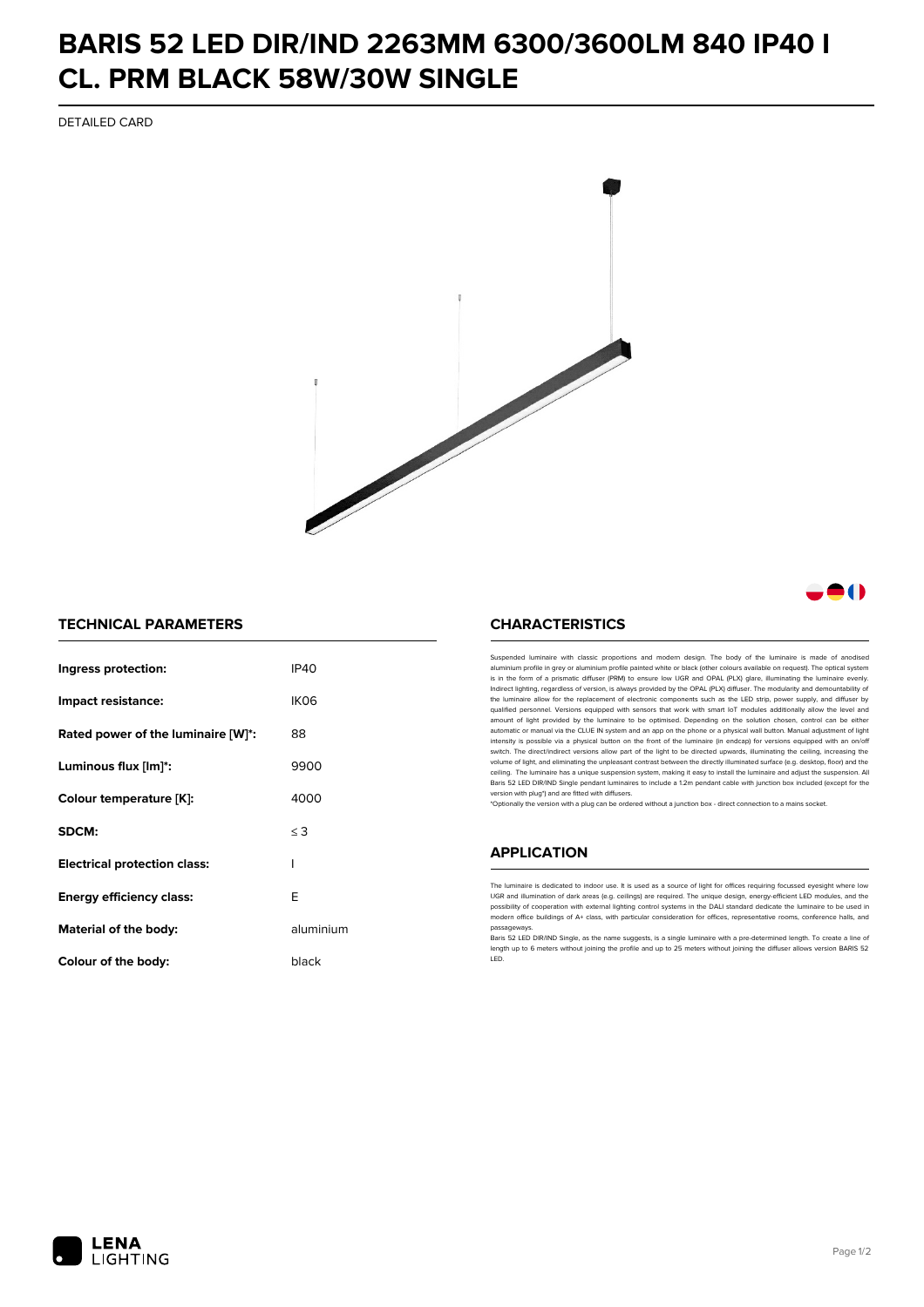## **BARIS 52 LED DIR/IND 2263MM 6300/3600LM 840 IP40 I CL. PRM BLACK 58W/30W SINGLE**

DETAILED CARD



### -0

#### **TECHNICAL PARAMETERS**

| Ingress protection:                 | IP40      |
|-------------------------------------|-----------|
| Impact resistance:                  | IK06      |
| Rated power of the luminaire [W]*:  | 88        |
| Luminous flux [lm]*:                | 9900      |
| Colour temperature [K]:             | 4000      |
| SDCM:                               | $\leq$ 3  |
| <b>Electrical protection class:</b> | ı         |
| Energy efficiency class:            | F         |
| Material of the body:               | aluminium |
| Colour of the body:                 | black     |

#### **CHARACTERISTICS**

Suspended luminaire with classic proportions and modern design. The body of the luminaire is made of an aluminium profile in grey or aluminium profile painted white or black (other colours available on request). The optical system is in the form of a prismatic diffuser (PRM) to ensure low UGR and OPAL (PLX) glare, illuminating the luminaire evenly.<br>Indirect lighting, regardless of version, is always provided by the OPAL (PLX) diffuser. The modularit the luminaire allow for the replacement of electronic components such as the LED strip, power supply, and diffuser by qualified personnel. Versions equipped with sensors that work with smart IoT modules additionally allow the level and amount of light provided by the luminaire to be optimised. Depending on the solution chosen, control can be either automatic or manual via the CLUE IN system and an app on the phone or a physical wall button. Manual adjustment of light<br>intensity is possible via a physical button on the front of the luminaire (in endcap) for versions eq switch. The direct/indirect versions allow part of the light to be directed upwards, illuminating the ceiling, increasing the volume of light, and eliminating the unpleasant contrast between the directly illuminated surface (e.g. desktop, floor) and the ceiling. The luminaire has a unique suspension system, making it easy to install the luminaire and adjust the suspension. All Baris 52 LED DIR/IND Single pendant Iuminaires to include a 1.2m pendant cable with junction box included (except for the<br>version with plug\*) and are fitted with diffusers.

\*Optionally the version with a plug can be ordered without a junction box - direct connection to a mains socket.

#### **APPLICATION**

The luminaire is dedicated to indoor use. It is used as a source of light for offices requiring focussed eyesight where low UGR and illumination of dark areas (e.g. ceilings) are required. The unique design, energy-efficient LED modules, and the<br>possibility of cooperation with external lighting control systems in the DALI standard dedicate the modern office buildings of A+ class, with particular consideration for offices, representative rooms, conference halls, and passage

.<br>Baris 52 LED DIR/IND Single, as the name suggests, is a single luminaire with a pre-determined length. To create a line of length up to 6 meters without joining the profile and up to 25 meters without joining the diffuser allows version BARIS 52 LED.